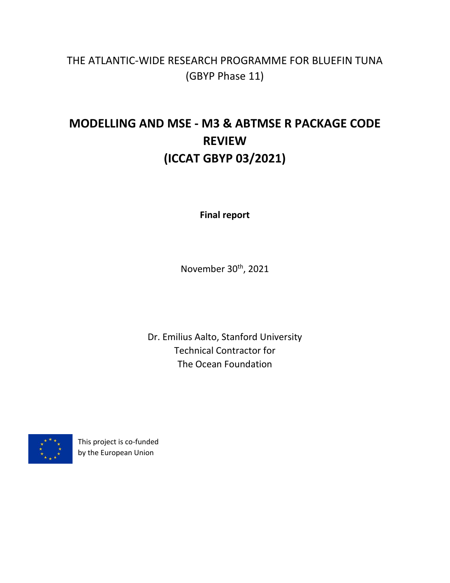# THE ATLANTIC-WIDE RESEARCH PROGRAMME FOR BLUEFIN TUNA (GBYP Phase 11)

# **MODELLING AND MSE - M3 & ABTMSE R PACKAGE CODE REVIEW (ICCAT GBYP 03/2021)**

**Final report**

November 30<sup>th</sup>, 2021

Dr. Emilius Aalto, Stanford University Technical Contractor for The Ocean Foundation



This project is co-funded by the European Union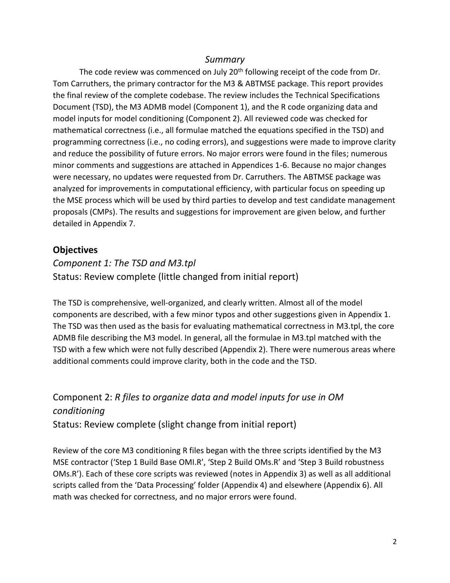#### *Summary*

The code review was commenced on July 20<sup>th</sup> following receipt of the code from Dr. Tom Carruthers, the primary contractor for the M3 & ABTMSE package. This report provides the final review of the complete codebase. The review includes the Technical Specifications Document (TSD), the M3 ADMB model (Component 1), and the R code organizing data and model inputs for model conditioning (Component 2). All reviewed code was checked for mathematical correctness (i.e., all formulae matched the equations specified in the TSD) and programming correctness (i.e., no coding errors), and suggestions were made to improve clarity and reduce the possibility of future errors. No major errors were found in the files; numerous minor comments and suggestions are attached in Appendices 1-6. Because no major changes were necessary, no updates were requested from Dr. Carruthers. The ABTMSE package was analyzed for improvements in computational efficiency, with particular focus on speeding up the MSE process which will be used by third parties to develop and test candidate management proposals (CMPs). The results and suggestions for improvement are given below, and further detailed in Appendix 7.

#### **Objectives**

## *Component 1: The TSD and M3.tpl* Status: Review complete (little changed from initial report)

The TSD is comprehensive, well-organized, and clearly written. Almost all of the model components are described, with a few minor typos and other suggestions given in Appendix 1. The TSD was then used as the basis for evaluating mathematical correctness in M3.tpl, the core ADMB file describing the M3 model. In general, all the formulae in M3.tpl matched with the TSD with a few which were not fully described (Appendix 2). There were numerous areas where additional comments could improve clarity, both in the code and the TSD.

## Component 2: *R files to organize data and model inputs for use in OM conditioning* Status: Review complete (slight change from initial report)

Review of the core M3 conditioning R files began with the three scripts identified by the M3 MSE contractor ('Step 1 Build Base OMI.R', 'Step 2 Build OMs.R' and 'Step 3 Build robustness OMs.R'). Each of these core scripts was reviewed (notes in Appendix 3) as well as all additional scripts called from the 'Data Processing' folder (Appendix 4) and elsewhere (Appendix 6). All math was checked for correctness, and no major errors were found.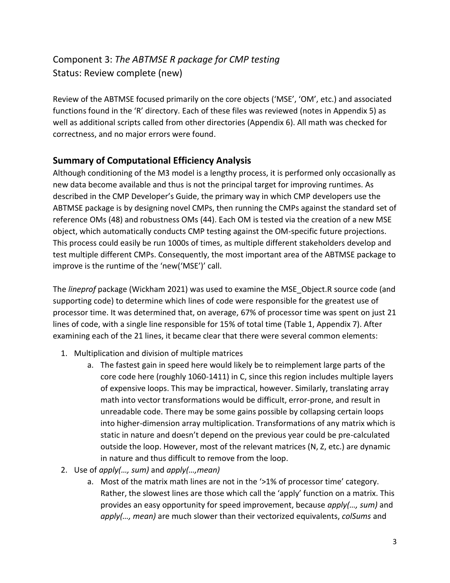## Component 3: *The ABTMSE R package for CMP testing* Status: Review complete (new)

Review of the ABTMSE focused primarily on the core objects ('MSE', 'OM', etc.) and associated functions found in the 'R' directory. Each of these files was reviewed (notes in Appendix 5) as well as additional scripts called from other directories (Appendix 6). All math was checked for correctness, and no major errors were found.

## **Summary of Computational Efficiency Analysis**

Although conditioning of the M3 model is a lengthy process, it is performed only occasionally as new data become available and thus is not the principal target for improving runtimes. As described in the CMP Developer's Guide, the primary way in which CMP developers use the ABTMSE package is by designing novel CMPs, then running the CMPs against the standard set of reference OMs (48) and robustness OMs (44). Each OM is tested via the creation of a new MSE object, which automatically conducts CMP testing against the OM-specific future projections. This process could easily be run 1000s of times, as multiple different stakeholders develop and test multiple different CMPs. Consequently, the most important area of the ABTMSE package to improve is the runtime of the 'new('MSE')' call.

The *lineprof* package (Wickham 2021) was used to examine the MSE\_Object.R source code (and supporting code) to determine which lines of code were responsible for the greatest use of processor time. It was determined that, on average, 67% of processor time was spent on just 21 lines of code, with a single line responsible for 15% of total time (Table 1, Appendix 7). After examining each of the 21 lines, it became clear that there were several common elements:

- 1. Multiplication and division of multiple matrices
	- a. The fastest gain in speed here would likely be to reimplement large parts of the core code here (roughly 1060-1411) in C, since this region includes multiple layers of expensive loops. This may be impractical, however. Similarly, translating array math into vector transformations would be difficult, error-prone, and result in unreadable code. There may be some gains possible by collapsing certain loops into higher-dimension array multiplication. Transformations of any matrix which is static in nature and doesn't depend on the previous year could be pre-calculated outside the loop. However, most of the relevant matrices (N, Z, etc.) are dynamic in nature and thus difficult to remove from the loop.
- 2. Use of *apply(…, sum)* and *apply(…,mean)*
	- a. Most of the matrix math lines are not in the '>1% of processor time' category. Rather, the slowest lines are those which call the 'apply' function on a matrix. This provides an easy opportunity for speed improvement, because *apply(…, sum)* and *apply(…, mean)* are much slower than their vectorized equivalents, *colSums* and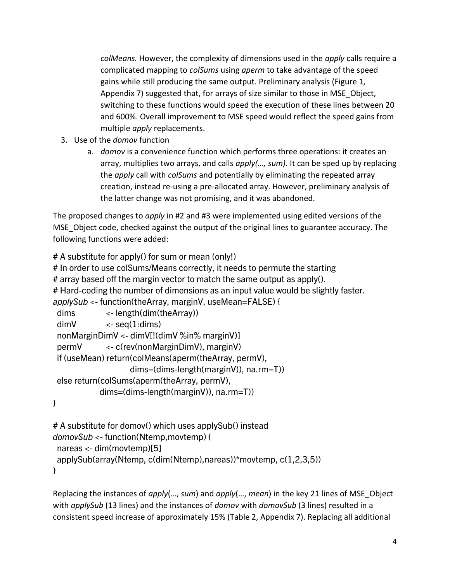*colMeans.* However, the complexity of dimensions used in the *apply* calls require a complicated mapping to *colSums* using *aperm* to take advantage of the speed gains while still producing the same output. Preliminary analysis (Figure 1, Appendix 7) suggested that, for arrays of size similar to those in MSE\_Object, switching to these functions would speed the execution of these lines between 20 and 600%. Overall improvement to MSE speed would reflect the speed gains from multiple *apply* replacements.

- 3. Use of the *domov* function
	- a. *domov* is a convenience function which performs three operations: it creates an array, multiplies two arrays, and calls *apply(…, sum).* It can be sped up by replacing the *apply* call with *colSums* and potentially by eliminating the repeated array creation, instead re-using a pre-allocated array. However, preliminary analysis of the latter change was not promising, and it was abandoned.

The proposed changes to *apply* in #2 and #3 were implemented using edited versions of the MSE Object code, checked against the output of the original lines to guarantee accuracy. The following functions were added:

```
# A substitute for apply() for sum or mean (only!)
# In order to use colSums/Means correctly, it needs to permute the starting
# array based off the margin vector to match the same output as apply().
# Hard-coding the number of dimensions as an input value would be slightly faster.
applySub <- function(theArray, marginV, useMean=FALSE) {
  dims <- length(dim(theArray))
 dimV \qquad \qquad \leq \text{seq}(1: \text{dim} s) nonMarginDimV <- dimV[!(dimV %in% marginV)]
  permV <- c(rev(nonMarginDimV), marginV)
  if (useMean) return(colMeans(aperm(theArray, permV), 
                     dims=(dims-length(marginV)), na.rm=T))
  else return(colSums(aperm(theArray, permV), 
             dims=(dims-length(marginV)), na.rm=T))
}
```

```
# A substitute for domov() which uses applySub() instead
domovSub <- function(Ntemp,movtemp) { 
 nareas <- dim(movtemp)[5]
  applySub(array(Ntemp, c(dim(Ntemp),nareas))*movtemp, c(1,2,3,5))
}
```
Replacing the instances of *apply*(…, *sum*) and *apply*(…, *mean*) in the key 21 lines of MSE\_Object with *applySub* (13 lines) and the instances of *domov* with *domovSub* (3 lines) resulted in a consistent speed increase of approximately 15% (Table 2, Appendix 7). Replacing all additional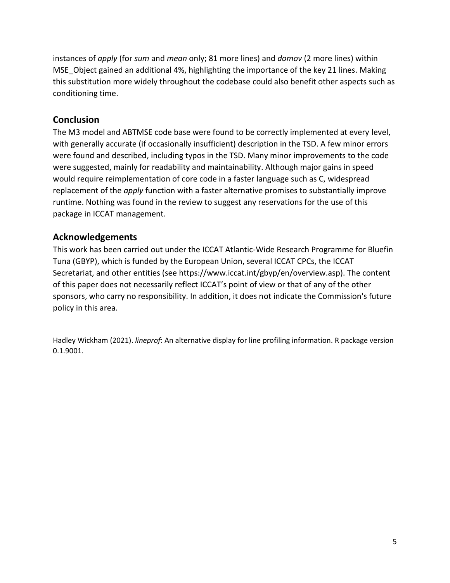instances of *apply* (for *sum* and *mean* only; 81 more lines) and *domov* (2 more lines) within MSE\_Object gained an additional 4%, highlighting the importance of the key 21 lines. Making this substitution more widely throughout the codebase could also benefit other aspects such as conditioning time.

#### **Conclusion**

The M3 model and ABTMSE code base were found to be correctly implemented at every level, with generally accurate (if occasionally insufficient) description in the TSD. A few minor errors were found and described, including typos in the TSD. Many minor improvements to the code were suggested, mainly for readability and maintainability. Although major gains in speed would require reimplementation of core code in a faster language such as C, widespread replacement of the *apply* function with a faster alternative promises to substantially improve runtime. Nothing was found in the review to suggest any reservations for the use of this package in ICCAT management.

#### **Acknowledgements**

This work has been carried out under the ICCAT Atlantic-Wide Research Programme for Bluefin Tuna (GBYP), which is funded by the European Union, several ICCAT CPCs, the ICCAT Secretariat, and other entities (see https://www.iccat.int/gbyp/en/overview.asp). The content of this paper does not necessarily reflect ICCAT's point of view or that of any of the other sponsors, who carry no responsibility. In addition, it does not indicate the Commission's future policy in this area.

Hadley Wickham (2021). *lineprof*: An alternative display for line profiling information. R package version 0.1.9001.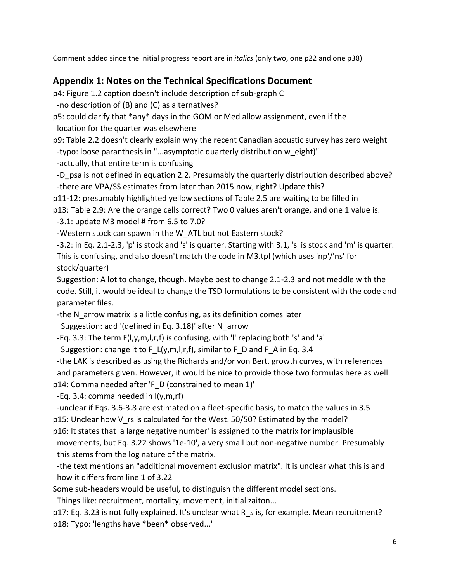Comment added since the initial progress report are in *italics* (only two, one p22 and one p38)

## **Appendix 1: Notes on the Technical Specifications Document**

p4: Figure 1.2 caption doesn't include description of sub-graph C

-no description of (B) and (C) as alternatives?

p5: could clarify that \*any\* days in the GOM or Med allow assignment, even if the location for the quarter was elsewhere

p9: Table 2.2 doesn't clearly explain why the recent Canadian acoustic survey has zero weight -typo: loose paranthesis in "...asymptotic quarterly distribution w\_eight)"

-actually, that entire term is confusing

 -D\_psa is not defined in equation 2.2. Presumably the quarterly distribution described above? -there are VPA/SS estimates from later than 2015 now, right? Update this?

p11-12: presumably highlighted yellow sections of Table 2.5 are waiting to be filled in

p13: Table 2.9: Are the orange cells correct? Two 0 values aren't orange, and one 1 value is.  $-3.1:$  update M3 model # from 6.5 to 7.0?

-Western stock can spawn in the W\_ATL but not Eastern stock?

 -3.2: in Eq. 2.1-2.3, 'p' is stock and 's' is quarter. Starting with 3.1, 's' is stock and 'm' is quarter. This is confusing, and also doesn't match the code in M3.tpl (which uses 'np'/'ns' for stock/quarter)

 Suggestion: A lot to change, though. Maybe best to change 2.1-2.3 and not meddle with the code. Still, it would be ideal to change the TSD formulations to be consistent with the code and parameter files.

-the N\_arrow matrix is a little confusing, as its definition comes later

Suggestion: add '(defined in Eq. 3.18)' after N\_arrow

-Eq. 3.3: The term F(l,y,m,l,r,f) is confusing, with 'l' replacing both 's' and 'a'

Suggestion: change it to F\_L(y,m,l,r,f), similar to F\_D and F\_A in Eq. 3.4

-the LAK is described as using the Richards and/or von Bert. growth curves, with references

and parameters given. However, it would be nice to provide those two formulas here as well.

p14: Comma needed after 'F\_D (constrained to mean 1)'

-Eq. 3.4: comma needed in I(y,m,rf)

-unclear if Eqs. 3.6-3.8 are estimated on a fleet-specific basis, to match the values in 3.5

p15: Unclear how V\_rs is calculated for the West. 50/50? Estimated by the model?

p16: It states that 'a large negative number' is assigned to the matrix for implausible

 movements, but Eq. 3.22 shows '1e-10', a very small but non-negative number. Presumably this stems from the log nature of the matrix.

 -the text mentions an "additional movement exclusion matrix". It is unclear what this is and how it differs from line 1 of 3.22

Some sub-headers would be useful, to distinguish the different model sections.

Things like: recruitment, mortality, movement, initializaiton...

p17: Eq. 3.23 is not fully explained. It's unclear what R\_s is, for example. Mean recruitment? p18: Typo: 'lengths have \*been\* observed...'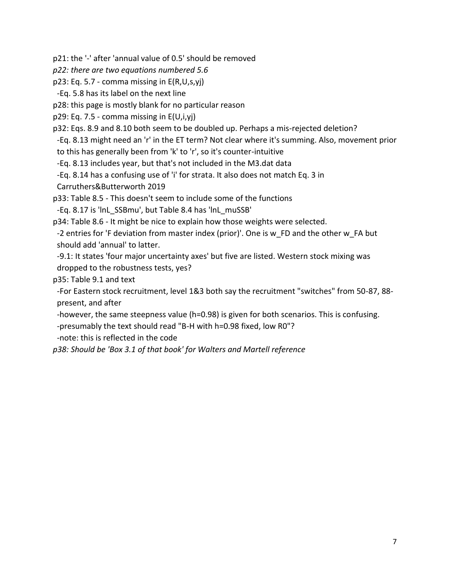p21: the '-' after 'annual value of 0.5' should be removed

*p22: there are two equations numbered 5.6*

p23: Eq. 5.7 - comma missing in E(R,U,s,yj)

-Eq. 5.8 has its label on the next line

p28: this page is mostly blank for no particular reason

p29: Eq. 7.5 - comma missing in E(U,i,yj)

p32: Eqs. 8.9 and 8.10 both seem to be doubled up. Perhaps a mis-rejected deletion?

-Eq. 8.13 might need an 'r' in the ET term? Not clear where it's summing. Also, movement prior

to this has generally been from 'k' to 'r', so it's counter-intuitive

-Eq. 8.13 includes year, but that's not included in the M3.dat data

-Eq. 8.14 has a confusing use of 'i' for strata. It also does not match Eq. 3 in

Carruthers&Butterworth 2019

p33: Table 8.5 - This doesn't seem to include some of the functions

-Eq. 8.17 is 'lnL\_SSBmu', but Table 8.4 has 'lnL\_muSSB'

p34: Table 8.6 - It might be nice to explain how those weights were selected.

 -2 entries for 'F deviation from master index (prior)'. One is w\_FD and the other w\_FA but should add 'annual' to latter.

 -9.1: It states 'four major uncertainty axes' but five are listed. Western stock mixing was dropped to the robustness tests, yes?

p35: Table 9.1 and text

 -For Eastern stock recruitment, level 1&3 both say the recruitment "switches" from 50-87, 88 present, and after

 -however, the same steepness value (h=0.98) is given for both scenarios. This is confusing. -presumably the text should read "B-H with h=0.98 fixed, low R0"?

-note: this is reflected in the code

*p38: Should be 'Box 3.1 of that book' for Walters and Martell reference*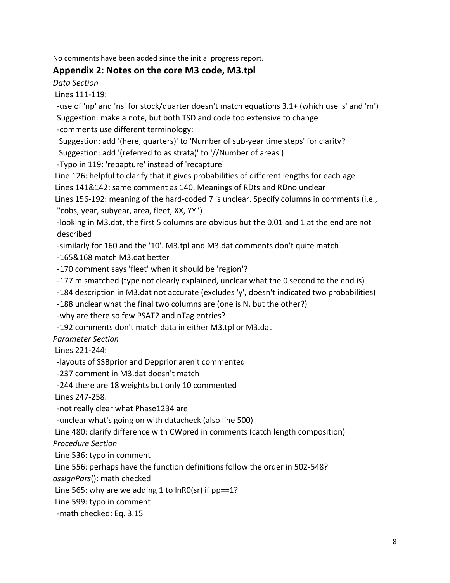No comments have been added since the initial progress report.

#### **Appendix 2: Notes on the core M3 code, M3.tpl**

*Data Section*

Lines 111-119:

 -use of 'np' and 'ns' for stock/quarter doesn't match equations 3.1+ (which use 's' and 'm') Suggestion: make a note, but both TSD and code too extensive to change

-comments use different terminology:

Suggestion: add '(here, quarters)' to 'Number of sub-year time steps' for clarity?

Suggestion: add '(referred to as strata)' to '//Number of areas')

-Typo in 119: 'repapture' instead of 'recapture'

Line 126: helpful to clarify that it gives probabilities of different lengths for each age

Lines 141&142: same comment as 140. Meanings of RDts and RDno unclear

Lines 156-192: meaning of the hard-coded 7 is unclear. Specify columns in comments (i.e., "cobs, year, subyear, area, fleet, XX, YY")

 -looking in M3.dat, the first 5 columns are obvious but the 0.01 and 1 at the end are not described

-similarly for 160 and the '10'. M3.tpl and M3.dat comments don't quite match

-165&168 match M3.dat better

-170 comment says 'fleet' when it should be 'region'?

-177 mismatched (type not clearly explained, unclear what the 0 second to the end is)

-184 description in M3.dat not accurate (excludes 'y', doesn't indicated two probabilities)

-188 unclear what the final two columns are (one is N, but the other?)

-why are there so few PSAT2 and nTag entries?

-192 comments don't match data in either M3.tpl or M3.dat

*Parameter Section*

Lines 221-244:

-layouts of SSBprior and Depprior aren't commented

-237 comment in M3.dat doesn't match

-244 there are 18 weights but only 10 commented

Lines 247-258:

-not really clear what Phase1234 are

-unclear what's going on with datacheck (also line 500)

Line 480: clarify difference with CWpred in comments (catch length composition)

*Procedure Section*

Line 536: typo in comment

Line 556: perhaps have the function definitions follow the order in 502-548?

*assignPars*(): math checked

Line 565: why are we adding 1 to lnR0(sr) if pp==1?

Line 599: typo in comment

-math checked: Eq. 3.15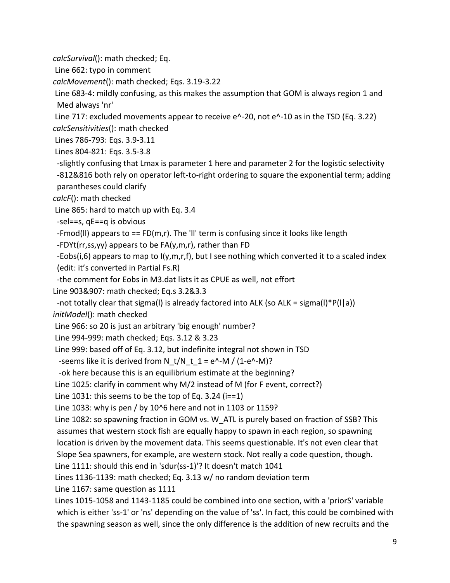*calcSurvival*(): math checked; Eq.

Line 662: typo in comment

*calcMovement*(): math checked; Eqs. 3.19-3.22

Line 683-4: mildly confusing, as this makes the assumption that GOM is always region 1 and Med always 'nr'

Line 717: excluded movements appear to receive e^-20, not e^-10 as in the TSD (Eq. 3.22) *calcSensitivities*(): math checked

Lines 786-793: Eqs. 3.9-3.11

Lines 804-821: Eqs. 3.5-3.8

 -slightly confusing that Lmax is parameter 1 here and parameter 2 for the logistic selectivity -812&816 both rely on operator left-to-right ordering to square the exponential term; adding parantheses could clarify

*calcF*(): math checked

Line 865: hard to match up with Eq. 3.4

-sel==s, qE==q is obvious

-Fmod(II) appears to  $==$  FD(m,r). The 'II' term is confusing since it looks like length

-FDYt(rr,ss,yy) appears to be FA(y,m,r), rather than FD

 -Eobs(i,6) appears to map to I(y,m,r,f), but I see nothing which converted it to a scaled index (edit: it's converted in Partial Fs.R)

-the comment for Eobs in M3.dat lists it as CPUE as well, not effort

Line 903&907: math checked; Eq.s 3.2&3.3

-not totally clear that sigma(I) is already factored into ALK (so ALK = sigma(I)\*P(I|a))

*initModel*(): math checked

Line 966: so 20 is just an arbitrary 'big enough' number?

Line 994-999: math checked; Eqs. 3.12 & 3.23

Line 999: based off of Eq. 3.12, but indefinite integral not shown in TSD

-seems like it is derived from  $N_t/N_t_1 = e^{\Lambda_t}M / (1-e^{\Lambda_t}M)$ ?

-ok here because this is an equilibrium estimate at the beginning?

Line 1025: clarify in comment why M/2 instead of M (for F event, correct?)

Line 1031: this seems to be the top of Eq. 3.24 ( $i=1$ )

Line 1033: why is pen / by 10^6 here and not in 1103 or 1159?

Line 1082: so spawning fraction in GOM vs. W\_ATL is purely based on fraction of SSB? This assumes that western stock fish are equally happy to spawn in each region, so spawning location is driven by the movement data. This seems questionable. It's not even clear that

Slope Sea spawners, for example, are western stock. Not really a code question, though.

Line 1111: should this end in 'sdur(ss-1)'? It doesn't match 1041

Lines 1136-1139: math checked; Eq. 3.13 w/ no random deviation term

Line 1167: same question as 1111

Lines 1015-1058 and 1143-1185 could be combined into one section, with a 'priorS' variable which is either 'ss-1' or 'ns' depending on the value of 'ss'. In fact, this could be combined with the spawning season as well, since the only difference is the addition of new recruits and the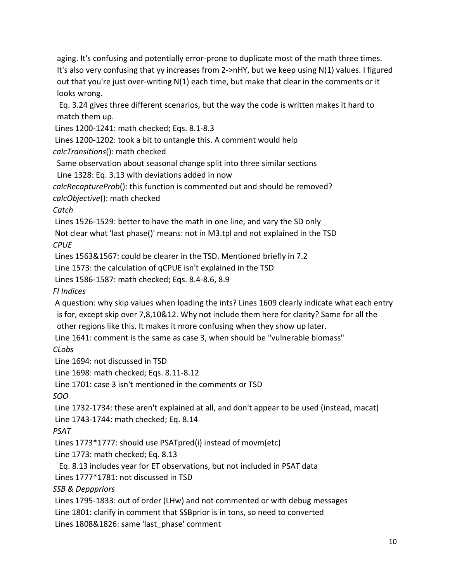aging. It's confusing and potentially error-prone to duplicate most of the math three times. It's also very confusing that yy increases from 2->nHY, but we keep using N(1) values. I figured out that you're just over-writing N(1) each time, but make that clear in the comments or it looks wrong.

 Eq. 3.24 gives three different scenarios, but the way the code is written makes it hard to match them up.

Lines 1200-1241: math checked; Eqs. 8.1-8.3

Lines 1200-1202: took a bit to untangle this. A comment would help

*calcTransitions*(): math checked

Same observation about seasonal change split into three similar sections

Line 1328: Eq. 3.13 with deviations added in now

*calcRecaptureProb*(): this function is commented out and should be removed?

*calcObjective*(): math checked

*Catch*

Lines 1526-1529: better to have the math in one line, and vary the SD only

Not clear what 'last phase()' means: not in M3.tpl and not explained in the TSD *CPUE*

Lines 1563&1567: could be clearer in the TSD. Mentioned briefly in 7.2

Line 1573: the calculation of qCPUE isn't explained in the TSD

Lines 1586-1587: math checked; Eqs. 8.4-8.6, 8.9

*FI Indices*

A question: why skip values when loading the ints? Lines 1609 clearly indicate what each entry is for, except skip over 7,8,10&12. Why not include them here for clarity? Same for all the other regions like this. It makes it more confusing when they show up later.

Line 1641: comment is the same as case 3, when should be "vulnerable biomass"

*CLobs*

Line 1694: not discussed in TSD

Line 1698: math checked; Eqs. 8.11-8.12

Line 1701: case 3 isn't mentioned in the comments or TSD

*SOO*

Line 1732-1734: these aren't explained at all, and don't appear to be used (instead, macat) Line 1743-1744: math checked; Eq. 8.14

*PSAT*

Lines 1773\*1777: should use PSATpred(i) instead of movm(etc)

Line 1773: math checked; Eq. 8.13

Eq. 8.13 includes year for ET observations, but not included in PSAT data

Lines 1777\*1781: not discussed in TSD

*SSB & Depppriors*

Lines 1795-1833: out of order (LHw) and not commented or with debug messages

Line 1801: clarify in comment that SSBprior is in tons, so need to converted

Lines 1808&1826: same 'last phase' comment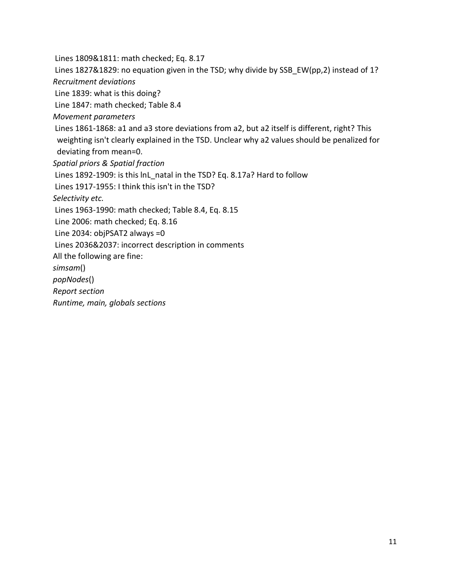Lines 1809&1811: math checked; Eq. 8.17

Lines 1827&1829: no equation given in the TSD; why divide by SSB\_EW(pp,2) instead of 1? *Recruitment deviations*

Line 1839: what is this doing?

Line 1847: math checked; Table 8.4

*Movement parameters*

Lines 1861-1868: a1 and a3 store deviations from a2, but a2 itself is different, right? This weighting isn't clearly explained in the TSD. Unclear why a2 values should be penalized for deviating from mean=0.

*Spatial priors & Spatial fraction*

Lines 1892-1909: is this lnL\_natal in the TSD? Eq. 8.17a? Hard to follow

Lines 1917-1955: I think this isn't in the TSD?

*Selectivity etc.*

Lines 1963-1990: math checked; Table 8.4, Eq. 8.15

Line 2006: math checked; Eq. 8.16

Line 2034: objPSAT2 always =0

Lines 2036&2037: incorrect description in comments

All the following are fine:

*simsam*()

*popNodes*()

*Report section*

*Runtime, main, globals sections*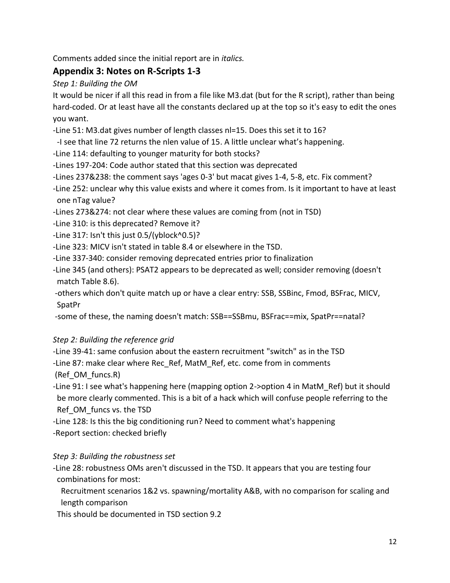Comments added since the initial report are in *italics.*

## **Appendix 3: Notes on R-Scripts 1-3**

*Step 1: Building the OM*

It would be nicer if all this read in from a file like M3.dat (but for the R script), rather than being hard-coded. Or at least have all the constants declared up at the top so it's easy to edit the ones you want.

- -Line 51: M3.dat gives number of length classes nl=15. Does this set it to 16?
- -I see that line 72 returns the nlen value of 15. A little unclear what's happening.
- -Line 114: defaulting to younger maturity for both stocks?
- -Lines 197-204: Code author stated that this section was deprecated
- -Lines 237&238: the comment says 'ages 0-3' but macat gives 1-4, 5-8, etc. Fix comment?
- -Line 252: unclear why this value exists and where it comes from. Is it important to have at least one nTag value?
- -Lines 273&274: not clear where these values are coming from (not in TSD)
- -Line 310: is this deprecated? Remove it?
- -Line 317: Isn't this just 0.5/(yblock^0.5)?
- -Line 323: MICV isn't stated in table 8.4 or elsewhere in the TSD.
- -Line 337-340: consider removing deprecated entries prior to finalization
- -Line 345 (and others): PSAT2 appears to be deprecated as well; consider removing (doesn't match Table 8.6).
- -others which don't quite match up or have a clear entry: SSB, SSBinc, Fmod, BSFrac, MICV, SpatPr
- -some of these, the naming doesn't match: SSB==SSBmu, BSFrac==mix, SpatPr==natal?

#### *Step 2: Building the reference grid*

- -Line 39-41: same confusion about the eastern recruitment "switch" as in the TSD
- -Line 87: make clear where Rec\_Ref, MatM\_Ref, etc. come from in comments (Ref\_OM\_funcs.R)
- -Line 91: I see what's happening here (mapping option 2->option 4 in MatM\_Ref) but it should be more clearly commented. This is a bit of a hack which will confuse people referring to the Ref\_OM\_funcs vs. the TSD
- -Line 128: Is this the big conditioning run? Need to comment what's happening -Report section: checked briefly

#### *Step 3: Building the robustness set*

- -Line 28: robustness OMs aren't discussed in the TSD. It appears that you are testing four combinations for most:
	- Recruitment scenarios 1&2 vs. spawning/mortality A&B, with no comparison for scaling and length comparison

This should be documented in TSD section 9.2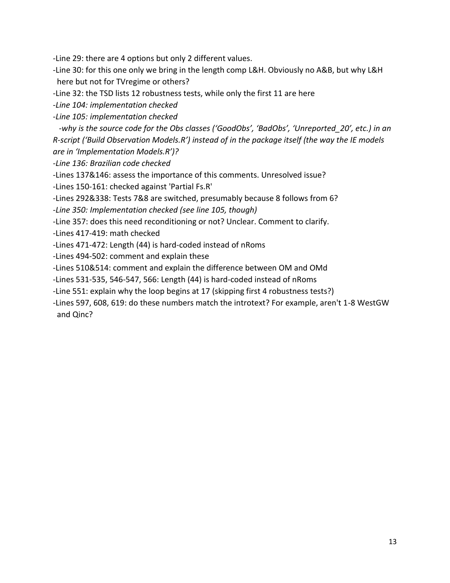-Line 29: there are 4 options but only 2 different values.

-Line 30: for this one only we bring in the length comp L&H. Obviously no A&B, but why L&H here but not for TVregime or others?

-Line 32: the TSD lists 12 robustness tests, while only the first 11 are here

*-Line 104: implementation checked*

*-Line 105: implementation checked*

 *-why is the source code for the Obs classes ('GoodObs', 'BadObs', 'Unreported\_20', etc.) in an R-script ('Build Observation Models.R') instead of in the package itself (the way the IE models are in 'Implementation Models.R')?*

*-Line 136: Brazilian code checked*

-Lines 137&146: assess the importance of this comments. Unresolved issue?

-Lines 150-161: checked against 'Partial Fs.R'

-Lines 292&338: Tests 7&8 are switched, presumably because 8 follows from 6?

*-Line 350: Implementation checked (see line 105, though)*

-Line 357: does this need reconditioning or not? Unclear. Comment to clarify.

-Lines 417-419: math checked

-Lines 471-472: Length (44) is hard-coded instead of nRoms

-Lines 494-502: comment and explain these

-Lines 510&514: comment and explain the difference between OM and OMd

-Lines 531-535, 546-547, 566: Length (44) is hard-coded instead of nRoms

-Line 551: explain why the loop begins at 17 (skipping first 4 robustness tests?)

-Lines 597, 608, 619: do these numbers match the introtext? For example, aren't 1-8 WestGW and Qinc?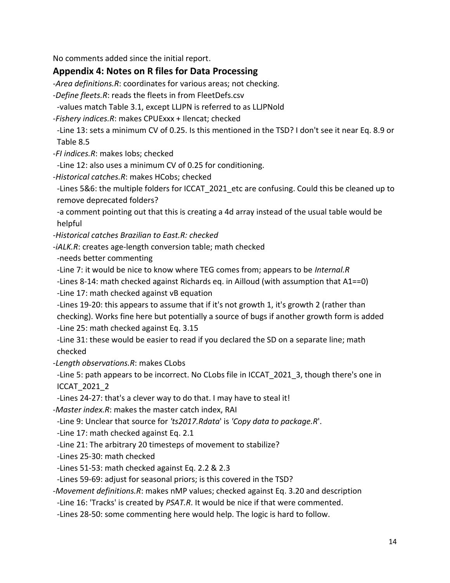No comments added since the initial report.

#### **Appendix 4: Notes on R files for Data Processing**

-*Area definitions.R*: coordinates for various areas; not checking.

-*Define fleets.R*: reads the fleets in from FleetDefs.csv

-values match Table 3.1, except LLJPN is referred to as LLJPNold

-*Fishery indices.R*: makes CPUExxx + Ilencat; checked

 -Line 13: sets a minimum CV of 0.25. Is this mentioned in the TSD? I don't see it near Eq. 8.9 or Table 8.5

- -*FI indices.R*: makes Iobs; checked
- -Line 12: also uses a minimum CV of 0.25 for conditioning.
- -*Historical catches.R*: makes HCobs; checked

 -Lines 5&6: the multiple folders for ICCAT\_2021\_etc are confusing. Could this be cleaned up to remove deprecated folders?

 -a comment pointing out that this is creating a 4d array instead of the usual table would be helpful

- *-Historical catches Brazilian to East.R: checked*
- -*iALK.R*: creates age-length conversion table; math checked
- -needs better commenting
- -Line 7: it would be nice to know where TEG comes from; appears to be *Internal.R*
- -Lines 8-14: math checked against Richards eq. in Ailloud (with assumption that A1==0)
- -Line 17: math checked against vB equation

 -Lines 19-20: this appears to assume that if it's not growth 1, it's growth 2 (rather than checking). Works fine here but potentially a source of bugs if another growth form is added -Line 25: math checked against Eq. 3.15

 -Line 31: these would be easier to read if you declared the SD on a separate line; math checked

-*Length observations.R*: makes CLobs

 -Line 5: path appears to be incorrect. No CLobs file in ICCAT\_2021\_3, though there's one in ICCAT\_2021\_2

-Lines 24-27: that's a clever way to do that. I may have to steal it!

-*Master index.R*: makes the master catch index, RAI

-Line 9: Unclear that source for *'ts2017.Rdata*' is *'Copy data to package.R*'.

-Line 17: math checked against Eq. 2.1

-Line 21: The arbitrary 20 timesteps of movement to stabilize?

-Lines 25-30: math checked

-Lines 51-53: math checked against Eq. 2.2 & 2.3

-Lines 59-69: adjust for seasonal priors; is this covered in the TSD?

-*Movement definitions.R*: makes nMP values; checked against Eq. 3.20 and description

-Line 16: 'Tracks' is created by *PSAT.R*. It would be nice if that were commented.

-Lines 28-50: some commenting here would help. The logic is hard to follow.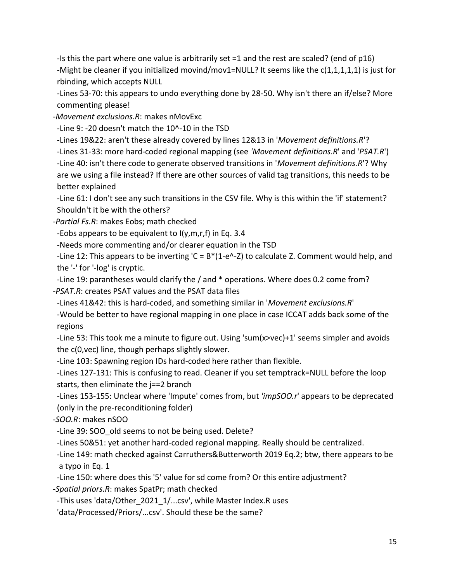-Is this the part where one value is arbitrarily set =1 and the rest are scaled? (end of p16) -Might be cleaner if you initialized movind/mov1=NULL? It seems like the c(1,1,1,1,1) is just for rbinding, which accepts NULL

 -Lines 53-70: this appears to undo everything done by 28-50. Why isn't there an if/else? More commenting please!

-*Movement exclusions.R*: makes nMovExc

-Line 9: -20 doesn't match the 10^-10 in the TSD

-Lines 19&22: aren't these already covered by lines 12&13 in '*Movement definitions.R*'?

 -Lines 31-33: more hard-coded regional mapping (see *'Movement definitions.R*' and '*PSAT.R*') -Line 40: isn't there code to generate observed transitions in '*Movement definitions.R*'? Why are we using a file instead? If there are other sources of valid tag transitions, this needs to be better explained

 -Line 61: I don't see any such transitions in the CSV file. Why is this within the 'if' statement? Shouldn't it be with the others?

-*Partial Fs.R*: makes Eobs; math checked

-Eobs appears to be equivalent to  $I(y,m,r,f)$  in Eq. 3.4

-Needs more commenting and/or clearer equation in the TSD

 -Line 12: This appears to be inverting 'C = B\*(1-e^-Z) to calculate Z. Comment would help, and the '-' for '-log' is cryptic.

 -Line 19: parantheses would clarify the / and \* operations. Where does 0.2 come from? -*PSAT.R*: creates PSAT values and the PSAT data files

-Lines 41&42: this is hard-coded, and something similar in '*Movement exclusions.R*'

 -Would be better to have regional mapping in one place in case ICCAT adds back some of the regions

 -Line 53: This took me a minute to figure out. Using 'sum(x>vec)+1' seems simpler and avoids the c(0,vec) line, though perhaps slightly slower.

-Line 103: Spawning region IDs hard-coded here rather than flexible.

 -Lines 127-131: This is confusing to read. Cleaner if you set temptrack=NULL before the loop starts, then eliminate the j==2 branch

 -Lines 153-155: Unclear where 'Impute' comes from, but *'impSOO.r*' appears to be deprecated (only in the pre-reconditioning folder)

-*SOO.R*: makes nSOO

-Line 39: SOO\_old seems to not be being used. Delete?

-Lines 50&51: yet another hard-coded regional mapping. Really should be centralized.

 -Line 149: math checked against Carruthers&Butterworth 2019 Eq.2; btw, there appears to be a typo in Eq. 1

-Line 150: where does this '5' value for sd come from? Or this entire adjustment?

-*Spatial priors.R*: makes SpatPr; math checked

-This uses 'data/Other\_2021\_1/...csv', while Master Index.R uses

'data/Processed/Priors/...csv'. Should these be the same?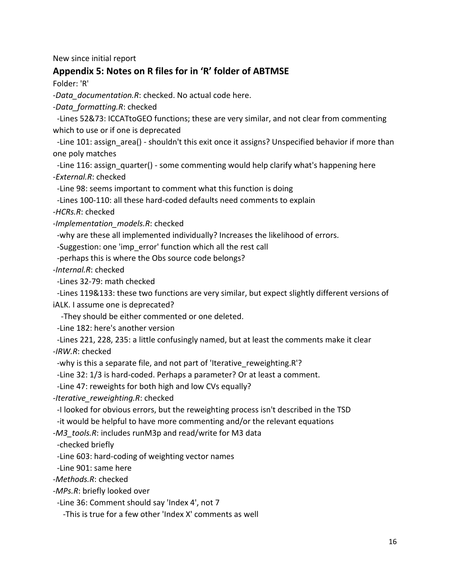New since initial report

#### **Appendix 5: Notes on R files for in 'R' folder of ABTMSE**

Folder: 'R'

-*Data\_documentation.R*: checked. No actual code here.

-*Data\_formatting.R*: checked

 -Lines 52&73: ICCATtoGEO functions; these are very similar, and not clear from commenting which to use or if one is deprecated

 -Line 101: assign\_area() - shouldn't this exit once it assigns? Unspecified behavior if more than one poly matches

 -Line 116: assign\_quarter() - some commenting would help clarify what's happening here -*External.R*: checked

-Line 98: seems important to comment what this function is doing

-Lines 100-110: all these hard-coded defaults need comments to explain

-*HCRs.R*: checked

-*Implementation\_models.R*: checked

-why are these all implemented individually? Increases the likelihood of errors.

-Suggestion: one 'imp\_error' function which all the rest call

-perhaps this is where the Obs source code belongs?

-*Internal.R*: checked

-Lines 32-79: math checked

 -Lines 119&133: these two functions are very similar, but expect slightly different versions of iALK. I assume one is deprecated?

-They should be either commented or one deleted.

-Line 182: here's another version

 -Lines 221, 228, 235: a little confusingly named, but at least the comments make it clear -*IRW.R*: checked

-why is this a separate file, and not part of 'Iterative reweighting.R'?

-Line 32: 1/3 is hard-coded. Perhaps a parameter? Or at least a comment.

-Line 47: reweights for both high and low CVs equally?

-*Iterative\_reweighting.R*: checked

-I looked for obvious errors, but the reweighting process isn't described in the TSD

-it would be helpful to have more commenting and/or the relevant equations

-*M3\_tools.R*: includes runM3p and read/write for M3 data

-checked briefly

-Line 603: hard-coding of weighting vector names

-Line 901: same here

-*Methods.R*: checked

-*MPs.R*: briefly looked over

-Line 36: Comment should say 'Index 4', not 7

-This is true for a few other 'Index X' comments as well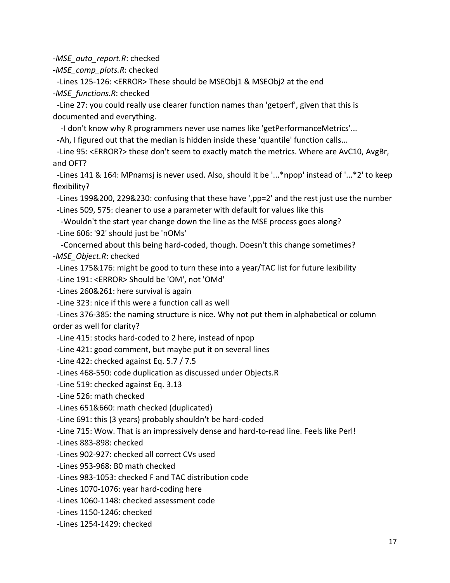-*MSE\_auto\_report.R*: checked

-*MSE\_comp\_plots.R*: checked

 -Lines 125-126: <ERROR> These should be MSEObj1 & MSEObj2 at the end -*MSE\_functions.R*: checked

 -Line 27: you could really use clearer function names than 'getperf', given that this is documented and everything.

-I don't know why R programmers never use names like 'getPerformanceMetrics'...

-Ah, I figured out that the median is hidden inside these 'quantile' function calls...

 -Line 95: <ERROR?> these don't seem to exactly match the metrics. Where are AvC10, AvgBr, and OFT?

 -Lines 141 & 164: MPnamsj is never used. Also, should it be '...\*npop' instead of '...\*2' to keep flexibility?

-Lines 199&200, 229&230: confusing that these have ',pp=2' and the rest just use the number

-Lines 509, 575: cleaner to use a parameter with default for values like this

 -Wouldn't the start year change down the line as the MSE process goes along? -Line 606: '92' should just be 'nOMs'

 -Concerned about this being hard-coded, though. Doesn't this change sometimes? -*MSE\_Object.R*: checked

-Lines 175&176: might be good to turn these into a year/TAC list for future lexibility

-Line 191: <ERROR> Should be 'OM', not 'OMd'

-Lines 260&261: here survival is again

-Line 323: nice if this were a function call as well

 -Lines 376-385: the naming structure is nice. Why not put them in alphabetical or column order as well for clarity?

-Line 415: stocks hard-coded to 2 here, instead of npop

-Line 421: good comment, but maybe put it on several lines

-Line 422: checked against Eq. 5.7 / 7.5

-Lines 468-550: code duplication as discussed under Objects.R

-Line 519: checked against Eq. 3.13

-Line 526: math checked

-Lines 651&660: math checked (duplicated)

-Line 691: this (3 years) probably shouldn't be hard-coded

-Line 715: Wow. That is an impressively dense and hard-to-read line. Feels like Perl!

-Lines 883-898: checked

-Lines 902-927: checked all correct CVs used

-Lines 953-968: B0 math checked

-Lines 983-1053: checked F and TAC distribution code

-Lines 1070-1076: year hard-coding here

-Lines 1060-1148: checked assessment code

-Lines 1150-1246: checked

-Lines 1254-1429: checked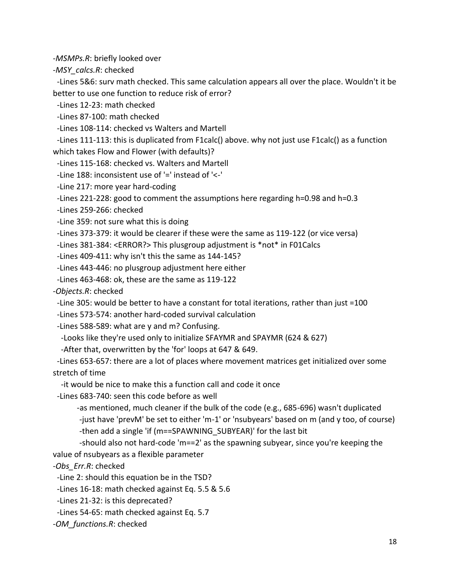-*MSMPs.R*: briefly looked over

-*MSY\_calcs.R*: checked

 -Lines 5&6: surv math checked. This same calculation appears all over the place. Wouldn't it be better to use one function to reduce risk of error?

-Lines 12-23: math checked

-Lines 87-100: math checked

-Lines 108-114: checked vs Walters and Martell

 -Lines 111-113: this is duplicated from F1calc() above. why not just use F1calc() as a function which takes Flow and Flower (with defaults)?

-Lines 115-168: checked vs. Walters and Martell

-Line 188: inconsistent use of '=' instead of '<-'

-Line 217: more year hard-coding

-Lines 221-228: good to comment the assumptions here regarding h=0.98 and h=0.3

-Lines 259-266: checked

-Line 359: not sure what this is doing

-Lines 373-379: it would be clearer if these were the same as 119-122 (or vice versa)

-Lines 381-384: <ERROR?> This plusgroup adjustment is \*not\* in F01Calcs

-Lines 409-411: why isn't this the same as 144-145?

-Lines 443-446: no plusgroup adjustment here either

-Lines 463-468: ok, these are the same as 119-122

-*Objects.R*: checked

-Line 305: would be better to have a constant for total iterations, rather than just =100

-Lines 573-574: another hard-coded survival calculation

-Lines 588-589: what are y and m? Confusing.

-Looks like they're used only to initialize SFAYMR and SPAYMR (624 & 627)

-After that, overwritten by the 'for' loops at 647 & 649.

 -Lines 653-657: there are a lot of places where movement matrices get initialized over some stretch of time

-it would be nice to make this a function call and code it once

-Lines 683-740: seen this code before as well

 -as mentioned, much cleaner if the bulk of the code (e.g., 685-696) wasn't duplicated -just have 'prevM' be set to either 'm-1' or 'nsubyears' based on m (and y too, of course) -then add a single 'if (m==SPAWNING\_SUBYEAR)' for the last bit

-should also not hard-code 'm==2' as the spawning subyear, since you're keeping the value of nsubyears as a flexible parameter

-*Obs\_Err.R*: checked

-Line 2: should this equation be in the TSD?

-Lines 16-18: math checked against Eq. 5.5 & 5.6

-Lines 21-32: is this deprecated?

-Lines 54-65: math checked against Eq. 5.7

-*OM\_functions.R*: checked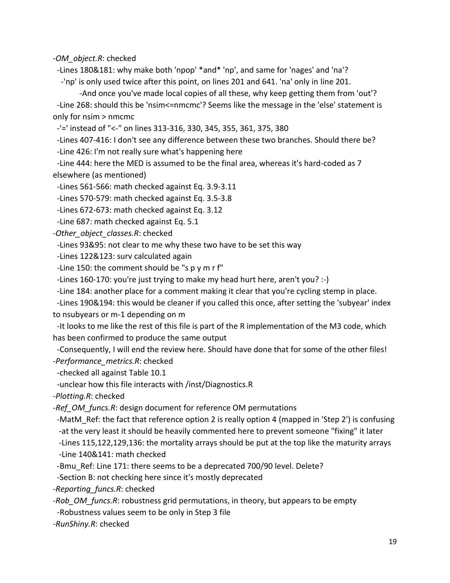-*OM\_object.R*: checked

-Lines 180&181: why make both 'npop' \*and\* 'np', and same for 'nages' and 'na'?

-'np' is only used twice after this point, on lines 201 and 641. 'na' only in line 201.

-And once you've made local copies of all these, why keep getting them from 'out'? -Line 268: should this be 'nsim<=nmcmc'? Seems like the message in the 'else' statement is only for nsim > nmcmc

-'=' instead of "<-" on lines 313-316, 330, 345, 355, 361, 375, 380

-Lines 407-416: I don't see any difference between these two branches. Should there be?

-Line 426: I'm not really sure what's happening here

 -Line 444: here the MED is assumed to be the final area, whereas it's hard-coded as 7 elsewhere (as mentioned)

-Lines 561-566: math checked against Eq. 3.9-3.11

-Lines 570-579: math checked against Eq. 3.5-3.8

-Lines 672-673: math checked against Eq. 3.12

-Line 687: math checked against Eq. 5.1

-*Other\_object\_classes.R*: checked

-Lines 93&95: not clear to me why these two have to be set this way

-Lines 122&123: surv calculated again

-Line 150: the comment should be "s p y m r f"

-Lines 160-170: you're just trying to make my head hurt here, aren't you? :-)

-Line 184: another place for a comment making it clear that you're cycling stemp in place.

 -Lines 190&194: this would be cleaner if you called this once, after setting the 'subyear' index to nsubyears or m-1 depending on m

 -It looks to me like the rest of this file is part of the R implementation of the M3 code, which has been confirmed to produce the same output

 -Consequently, I will end the review here. Should have done that for some of the other files! -*Performance\_metrics.R*: checked

-checked all against Table 10.1

-unclear how this file interacts with /inst/Diagnostics.R

-*Plotting.R*: checked

-*Ref\_OM\_funcs.R*: design document for reference OM permutations

 -MatM\_Ref: the fact that reference option 2 is really option 4 (mapped in 'Step 2') is confusing -at the very least it should be heavily commented here to prevent someone "fixing" it later

-Lines 115,122,129,136: the mortality arrays should be put at the top like the maturity arrays

-Line 140&141: math checked

-Bmu Ref: Line 171: there seems to be a deprecated 700/90 level. Delete?

-Section B: not checking here since it's mostly deprecated

-*Reporting\_funcs.R*: checked

-*Rob\_OM\_funcs.R*: robustness grid permutations, in theory, but appears to be empty

-Robustness values seem to be only in Step 3 file

-*RunShiny.R*: checked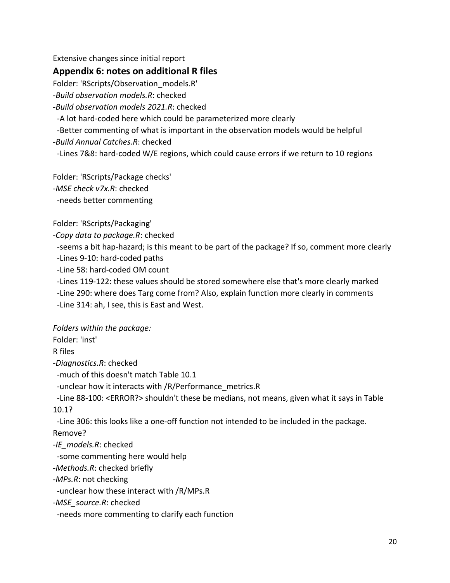Extensive changes since initial report

#### **Appendix 6: notes on additional R files**

Folder: 'RScripts/Observation\_models.R'

-*Build observation models.R*: checked

-*Build observation models 2021.R*: checked

-A lot hard-coded here which could be parameterized more clearly

 -Better commenting of what is important in the observation models would be helpful -*Build Annual Catches.R*: checked

-Lines 7&8: hard-coded W/E regions, which could cause errors if we return to 10 regions

Folder: 'RScripts/Package checks'

-*MSE check v7x.R*: checked

-needs better commenting

Folder: 'RScripts/Packaging'

-*Copy data to package.R*: checked

 -seems a bit hap-hazard; is this meant to be part of the package? If so, comment more clearly -Lines 9-10: hard-coded paths

-Line 58: hard-coded OM count

-Lines 119-122: these values should be stored somewhere else that's more clearly marked

 -Line 290: where does Targ come from? Also, explain function more clearly in comments -Line 314: ah, I see, this is East and West.

*Folders within the package:*

Folder: 'inst'

R files

-*Diagnostics.R*: checked

-much of this doesn't match Table 10.1

-unclear how it interacts with /R/Performance\_metrics.R

 -Line 88-100: <ERROR?> shouldn't these be medians, not means, given what it says in Table 10.1?

-Line 306: this looks like a one-off function not intended to be included in the package.

Remove?

-*IE\_models.R*: checked

-some commenting here would help

-*Methods.R*: checked briefly

-*MPs.R*: not checking

-unclear how these interact with /R/MPs.R

-*MSE\_source.R*: checked

-needs more commenting to clarify each function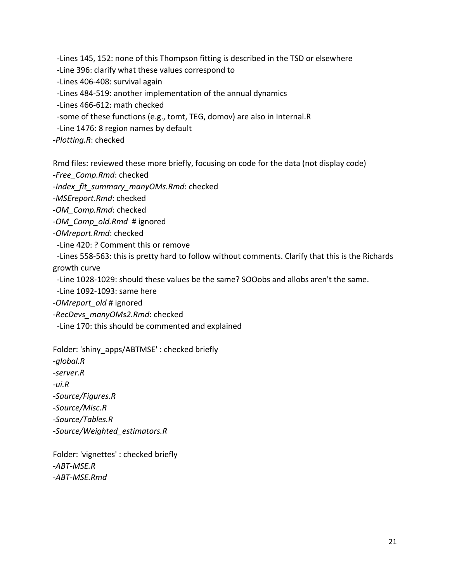-Lines 145, 152: none of this Thompson fitting is described in the TSD or elsewhere

-Line 396: clarify what these values correspond to

-Lines 406-408: survival again

-Lines 484-519: another implementation of the annual dynamics

-Lines 466-612: math checked

-some of these functions (e.g., tomt, TEG, domov) are also in Internal.R

-Line 1476: 8 region names by default

-*Plotting.R*: checked

Rmd files: reviewed these more briefly, focusing on code for the data (not display code)

-*Free\_Comp.Rmd*: checked

-*Index\_fit\_summary\_manyOMs.Rmd*: checked

-*MSEreport.Rmd*: checked

-*OM\_Comp.Rmd*: checked

-*OM\_Comp\_old.Rmd* # ignored

-*OMreport.Rmd*: checked

-Line 420: ? Comment this or remove

 -Lines 558-563: this is pretty hard to follow without comments. Clarify that this is the Richards growth curve

-Line 1028-1029: should these values be the same? SOOobs and allobs aren't the same.

-Line 1092-1093: same here

-*OMreport\_old* # ignored

-*RecDevs\_manyOMs2.Rmd*: checked

-Line 170: this should be commented and explained

Folder: 'shiny\_apps/ABTMSE' : checked briefly *-global.R -server.R -ui.R -Source/Figures.R -Source/Misc.R -Source/Tables.R -Source/Weighted\_estimators.R*

Folder: 'vignettes' : checked briefly -*ABT-MSE.R* -*ABT-MSE.Rmd*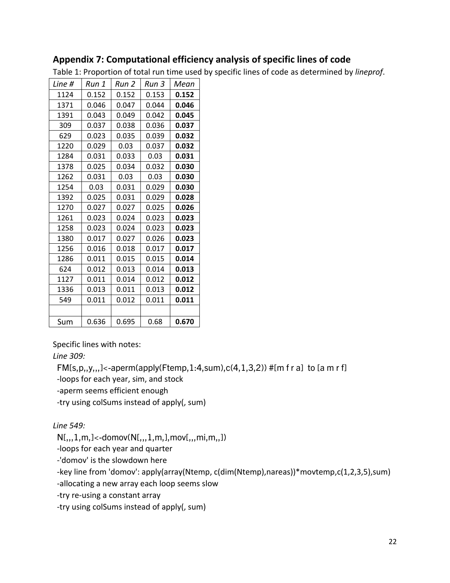### **Appendix 7: Computational efficiency analysis of specific lines of code**

Table 1: Proportion of total run time used by specific lines of code as determined by *lineprof*.

| Line # | Run 1 | Run 2 | Run 3 | Mean  |
|--------|-------|-------|-------|-------|
| 1124   | 0.152 | 0.152 | 0.153 | 0.152 |
| 1371   | 0.046 | 0.047 | 0.044 | 0.046 |
| 1391   | 0.043 | 0.049 | 0.042 | 0.045 |
| 309    | 0.037 | 0.038 | 0.036 | 0.037 |
| 629    | 0.023 | 0.035 | 0.039 | 0.032 |
| 1220   | 0.029 | 0.03  | 0.037 | 0.032 |
| 1284   | 0.031 | 0.033 | 0.03  | 0.031 |
| 1378   | 0.025 | 0.034 | 0.032 | 0.030 |
| 1262   | 0.031 | 0.03  | 0.03  | 0.030 |
| 1254   | 0.03  | 0.031 | 0.029 | 0.030 |
| 1392   | 0.025 | 0.031 | 0.029 | 0.028 |
| 1270   | 0.027 | 0.027 | 0.025 | 0.026 |
| 1261   | 0.023 | 0.024 | 0.023 | 0.023 |
| 1258   | 0.023 | 0.024 | 0.023 | 0.023 |
| 1380   | 0.017 | 0.027 | 0.026 | 0.023 |
| 1256   | 0.016 | 0.018 | 0.017 | 0.017 |
| 1286   | 0.011 | 0.015 | 0.015 | 0.014 |
| 624    | 0.012 | 0.013 | 0.014 | 0.013 |
| 1127   | 0.011 | 0.014 | 0.012 | 0.012 |
| 1336   | 0.013 | 0.011 | 0.013 | 0.012 |
| 549    | 0.011 | 0.012 | 0.011 | 0.011 |
|        |       |       |       |       |
| Sum    | 0.636 | 0.695 | 0.68  | 0.670 |

Specific lines with notes:

*Line 309:*

 $FM[s,p,y,,]<sub>1</sub>$ -aperm(apply(Ftemp, 1:4,sum),c(4, 1, 3,2)) #[m f r a] to [a m r f]

-loops for each year, sim, and stock

-aperm seems efficient enough

-try using colSums instead of apply(, sum)

*Line 549:*

 $N[,,1,m,]<-domov(N[,,,1,m],mov[,,,mi,m,])$ 

-loops for each year and quarter

-'domov' is the slowdown here

-key line from 'domov': apply(array(Ntemp, c(dim(Ntemp),nareas))\*movtemp,c(1,2,3,5),sum)

-allocating a new array each loop seems slow

-try re-using a constant array

-try using colSums instead of apply(, sum)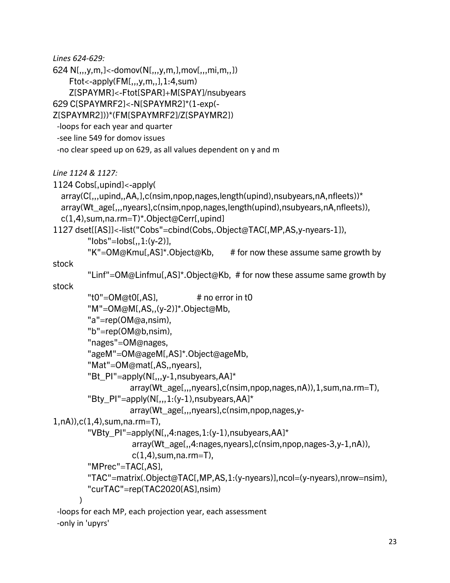*Lines 624-629:*

624 N[,,,y,m,]<-domov(N[,,,y,m,],mov[,,,mi,m,,]) Ftot<-apply(FM[,,,y,m,,],1:4,sum) Z[SPAYMR]<-Ftot[SPAR]+M[SPAY]/nsubyears

629 C[SPAYMRF2]<-N[SPAYMR2]\*(1-exp(-

Z[SPAYMR2]))\*(FM[SPAYMRF2]/Z[SPAYMR2])

-loops for each year and quarter

-see line 549 for domov issues

-no clear speed up on 629, as all values dependent on y and m

*Line 1124 & 1127:*

1124 Cobs[,upind]<-apply(

```
 array(C[,,,upind,,AA,],c(nsim,npop,nages,length(upind),nsubyears,nA,nfleets))*
 array(Wt_age[,,,nyears],c(nsim,npop,nages,length(upind),nsubyears,nA,nfleets)),
 c(1,4),sum,na.rm=T)*.Object@Cerr[,upind]
```
1127 dset[[AS]]<-list("Cobs"=cbind(Cobs,.Object@TAC[,MP,AS,y-nyears-1]),

 $"$ lobs $"$ =lobs $[,$ , 1: $(y-2)$ ],

 $"K" = OM@Kmul, AS]^*$ . Object@Kb, # for now these assume same growth by

stock

```
 "Linf"=OM@Linfmu[,AS]*.Object@Kb, # for now these assume same growth by
```
stock

```
"t0"=OM@t0[,AS], "# no error in t0
         "M"=OM@M[,AS,,(y-2)]*.Object@Mb,
         "a"=rep(OM@a,nsim),
         "b"=rep(OM@b,nsim),
         "nages"=OM@nages,
         "ageM"=OM@ageM[,AS]*.Object@ageMb,
         "Mat"=OM@mat[,AS,,nyears],
         "Bt_PI"=apply(N[,,,y-1,nsubyears,AA]*
                   array(Wt_age[,,,nyears],c(nsim,npop,nages,nA)),1,sum,na.rm=T),
        "Bty_PI"=apply(N[,, 1:(y-1),nsubyears,AA]*
                   array(Wt_age[,,,nyears],c(nsim,npop,nages,y-
1,nA)),c(1,4),sum,na.rm=T),
         "VBty_PI"=apply(N[,,4:nages,1:(y-1),nsubyears,AA]*
                    array(Wt_age[,,4:nages,nyears],c(nsim,npop,nages-3,y-1,nA)), 
                   c(1,4), sum, na. rm=T),
         "MPrec"=TAC[,AS],
         "TAC"=matrix(.Object@TAC[,MP,AS,1:(y-nyears)],ncol=(y-nyears),nrow=nsim),
         "curTAC"=rep(TAC2020[AS],nsim)
 )
 -loops for each MP, each projection year, each assessment
 -only in 'upyrs'
```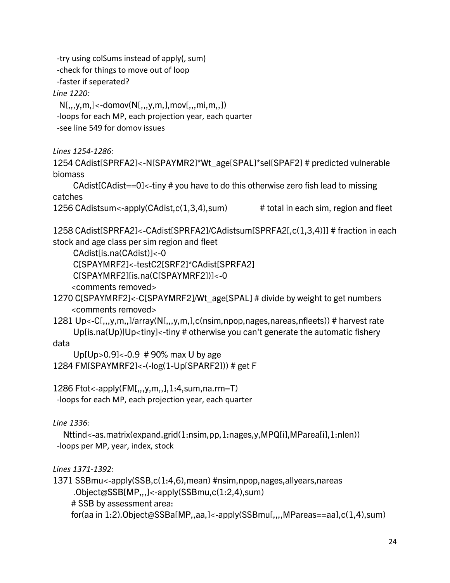-try using colSums instead of apply(, sum) -check for things to move out of loop

-faster if seperated?

*Line 1220:*

 $N[,.,y,m,]<-domov(N[,.,y,m],mov[,.,mi,m,])$ 

-loops for each MP, each projection year, each quarter

-see line 549 for domov issues

*Lines 1254-1286:*

1254 CAdist[SPRFA2]<-N[SPAYMR2]\*Wt\_age[SPAL]\*sel[SPAF2] # predicted vulnerable biomass

 CAdist[CAdist==0]<-tiny # you have to do this otherwise zero fish lead to missing catches

1256 CAdistsum<-apply(CAdist,c(1,3,4),sum) # total in each sim, region and fleet

1258 CAdist[SPRFA2]<-CAdist[SPRFA2]/CAdistsum[SPRFA2[,c(1,3,4)]] # fraction in each stock and age class per sim region and fleet

CAdist[is.na(CAdist)]<-0

C[SPAYMRF2]<-testC2[SRF2]\*CAdist[SPRFA2]

C[SPAYMRF2][is.na(C[SPAYMRF2])]<-0

<comments removed>

1270 C[SPAYMRF2]<-C[SPAYMRF2]/Wt\_age[SPAL] # divide by weight to get numbers <comments removed>

1281 Up<-C[,,,y,m,,]/array(N[,,,y,m,],c(nsim,npop,nages,nareas,nfleets)) # harvest rate Up[is.na(Up)|Up<tiny]<-tiny # otherwise you can't generate the automatic fishery

data

Up[Up>0.9]<-0.9 # 90% max U by age

```
1284 FM[SPAYMRF2]<-(-log(1-Up[SPARF2])) # get F
```

```
1286 Ftot<-apply(FM[,,,y,m,,],1:4,sum,na.rm=T)
  -loops for each MP, each projection year, each quarter
```
*Line 1336:*

 Nttind<-as.matrix(expand.grid(1:nsim,pp,1:nages,y,MPQ[i],MParea[i],1:nlen)) -loops per MP, year, index, stock

*Lines 1371-1392:*

```
1371 SSBmu<-apply(SSB,c(1:4,6),mean) #nsim,npop,nages,allyears,nareas
     .Object@SSB[MP,,,]<-apply(SSBmu,c(1:2,4),sum)
     # SSB by assessment area:
     for(aa in 1:2).Object@SSBa[MP,,aa,]<-apply(SSBmu[,,,,MPareas==aa],c(1,4),sum)
```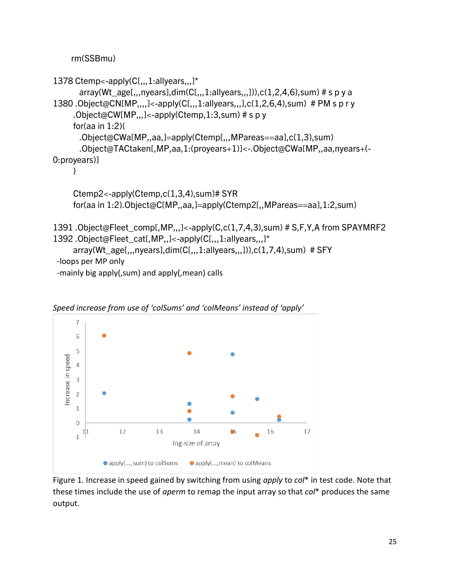rm(SSBmu)

```
1378 Ctemp<-apply(C[,,,1:allyears,,,]*
      array(Wt_age[,,,nyears],dim(C[,,,1:allyears,,,])),c(1,2,4,6),sum) # s p y a
1380 .Object@CN[MP,,,,\leq-apply(C[,,,1:allyears,,,\ln(1, 2, 6, 4), sum) # PM s p r y
     .Object@CW[MP,,,]<-apply(Ctemp,1:3,sum) # s p y
      for(aa in 1:2){
       .Object@CWa[MP,,aa,]=apply(Ctemp[,,,MPareas==aa],c(1,3),sum)
       .Object@TACtaken[,MP,aa,1:(proyears+1)]<-.Object@CWa[MP,,aa,nyears+(-
0:proyears)] 
      }
      Ctemp2<-apply(Ctemp,c(1,3,4),sum)# SYR
      for(aa in 1:2).Object@C[MP,,aa,]=apply(Ctemp2[,,MPareas==aa],1:2,sum)
1391 .Object@Fleet_comp[,MP,,,]<-apply(C,c(1,7,4,3),sum) # S,F,Y,A from SPAYMRF2
1392 .Object@Fleet_cat[,MP,,]<-apply(C[,,,1:allyears,,,]*
      array(Wt_age[,,,nyears],dim(C[,,,1:allyears,,,])),c(1,7,4),sum) # SFY
  -loops per MP only
```
-mainly big apply(,sum) and apply(,mean) calls



*Speed increase from use of 'colSums' and 'colMeans' instead of 'apply'*

Figure 1. Increase in speed gained by switching from using *apply* to *col*\* in test code. Note that these times include the use of *aperm* to remap the input array so that *col*\* produces the same output.